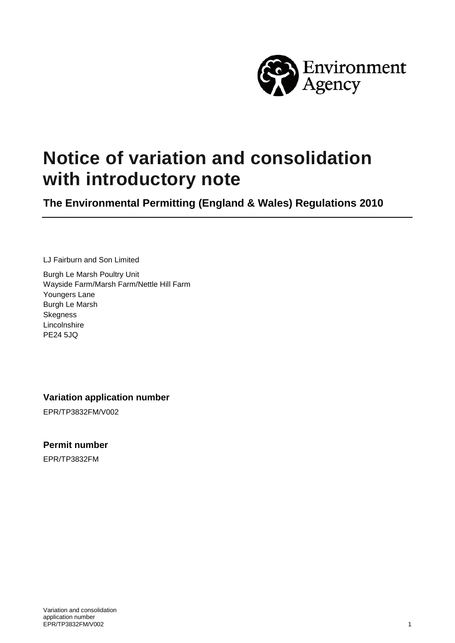

# **Notice of variation and consolidation with introductory note**

**The Environmental Permitting (England & Wales) Regulations 2010**

LJ Fairburn and Son Limited

Burgh Le Marsh Poultry Unit Wayside Farm/Marsh Farm/Nettle Hill Farm Youngers Lane Burgh Le Marsh **Skegness** Lincolnshire PE24 5JQ

**Variation application number**

EPR/TP3832FM/V002

**Permit number**

EPR/TP3832FM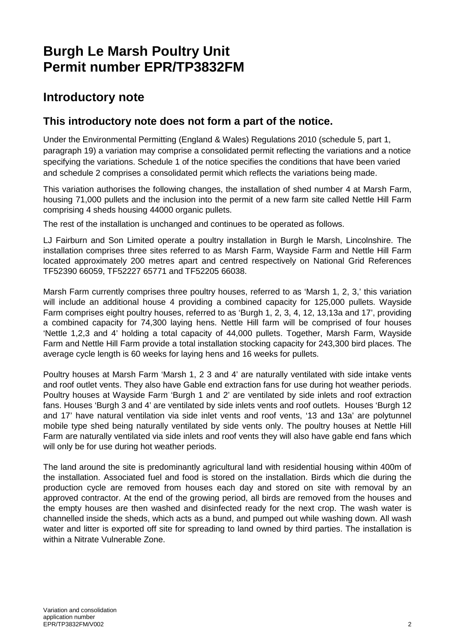## **Burgh Le Marsh Poultry Unit Permit number EPR/TP3832FM**

## **Introductory note**

### **This introductory note does not form a part of the notice.**

Under the Environmental Permitting (England & Wales) Regulations 2010 (schedule 5, part 1, paragraph 19) a variation may comprise a consolidated permit reflecting the variations and a notice specifying the variations. Schedule 1 of the notice specifies the conditions that have been varied and schedule 2 comprises a consolidated permit which reflects the variations being made.

This variation authorises the following changes, the installation of shed number 4 at Marsh Farm, housing 71,000 pullets and the inclusion into the permit of a new farm site called Nettle Hill Farm comprising 4 sheds housing 44000 organic pullets.

The rest of the installation is unchanged and continues to be operated as follows.

LJ Fairburn and Son Limited operate a poultry installation in Burgh le Marsh, Lincolnshire. The installation comprises three sites referred to as Marsh Farm, Wayside Farm and Nettle Hill Farm located approximately 200 metres apart and centred respectively on National Grid References TF52390 66059, TF52227 65771 and TF52205 66038.

Marsh Farm currently comprises three poultry houses, referred to as 'Marsh 1, 2, 3,' this variation will include an additional house 4 providing a combined capacity for 125,000 pullets. Wayside Farm comprises eight poultry houses, referred to as 'Burgh 1, 2, 3, 4, 12, 13,13a and 17', providing a combined capacity for 74,300 laying hens. Nettle Hill farm will be comprised of four houses 'Nettle 1,2,3 and 4' holding a total capacity of 44,000 pullets. Together, Marsh Farm, Wayside Farm and Nettle Hill Farm provide a total installation stocking capacity for 243,300 bird places. The average cycle length is 60 weeks for laying hens and 16 weeks for pullets.

Poultry houses at Marsh Farm 'Marsh 1, 2 3 and 4' are naturally ventilated with side intake vents and roof outlet vents. They also have Gable end extraction fans for use during hot weather periods. Poultry houses at Wayside Farm 'Burgh 1 and 2' are ventilated by side inlets and roof extraction fans. Houses 'Burgh 3 and 4' are ventilated by side inlets vents and roof outlets. Houses 'Burgh 12 and 17' have natural ventilation via side inlet vents and roof vents, '13 and 13a' are polytunnel mobile type shed being naturally ventilated by side vents only. The poultry houses at Nettle Hill Farm are naturally ventilated via side inlets and roof vents they will also have gable end fans which will only be for use during hot weather periods.

The land around the site is predominantly agricultural land with residential housing within 400m of the installation. Associated fuel and food is stored on the installation. Birds which die during the production cycle are removed from houses each day and stored on site with removal by an approved contractor. At the end of the growing period, all birds are removed from the houses and the empty houses are then washed and disinfected ready for the next crop. The wash water is channelled inside the sheds, which acts as a bund, and pumped out while washing down. All wash water and litter is exported off site for spreading to land owned by third parties. The installation is within a Nitrate Vulnerable Zone.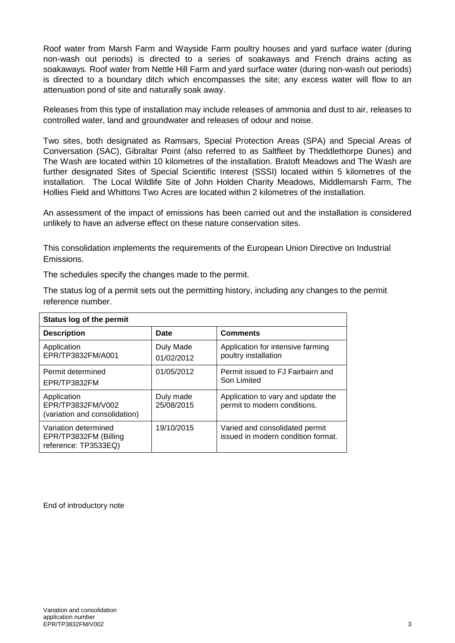Roof water from Marsh Farm and Wayside Farm poultry houses and yard surface water (during non-wash out periods) is directed to a series of soakaways and French drains acting as soakaways. Roof water from Nettle Hill Farm and yard surface water (during non-wash out periods) is directed to a boundary ditch which encompasses the site; any excess water will flow to an attenuation pond of site and naturally soak away.

Releases from this type of installation may include releases of ammonia and dust to air, releases to controlled water, land and groundwater and releases of odour and noise.

Two sites, both designated as Ramsars, Special Protection Areas (SPA) and Special Areas of Conversation (SAC), Gibraltar Point (also referred to as Saltfleet by Theddlethorpe Dunes) and The Wash are located within 10 kilometres of the installation. Bratoft Meadows and The Wash are further designated Sites of Special Scientific Interest (SSSI) located within 5 kilometres of the installation. The Local Wildlife Site of John Holden Charity Meadows, Middlemarsh Farm, The Hollies Field and Whittons Two Acres are located within 2 kilometres of the installation.

An assessment of the impact of emissions has been carried out and the installation is considered unlikely to have an adverse effect on these nature conservation sites.

This consolidation implements the requirements of the European Union Directive on Industrial Emissions.

The schedules specify the changes made to the permit.

The status log of a permit sets out the permitting history, including any changes to the permit reference number.

| Status log of the permit                                              |                         |                                                                      |  |  |
|-----------------------------------------------------------------------|-------------------------|----------------------------------------------------------------------|--|--|
| <b>Description</b>                                                    | Date                    | <b>Comments</b>                                                      |  |  |
| Application<br>EPR/TP3832FM/A001                                      | Duly Made<br>01/02/2012 | Application for intensive farming<br>poultry installation            |  |  |
| Permit determined<br>EPR/TP3832FM                                     | 01/05/2012              | Permit issued to FJ Fairbairn and<br>Son Limited                     |  |  |
| Application<br>EPR/TP3832FM/V002<br>(variation and consolidation)     | Duly made<br>25/08/2015 | Application to vary and update the<br>permit to modern conditions.   |  |  |
| Variation determined<br>EPR/TP3832FM (Billing<br>reference: TP3533EQ) | 19/10/2015              | Varied and consolidated permit<br>issued in modern condition format. |  |  |

End of introductory note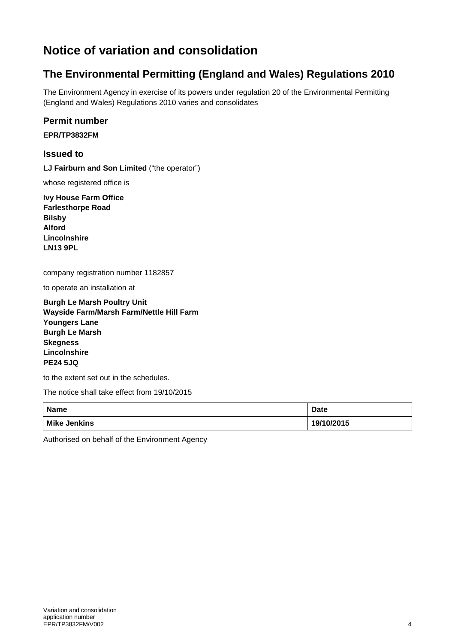## **Notice of variation and consolidation**

## **The Environmental Permitting (England and Wales) Regulations 2010**

The Environment Agency in exercise of its powers under regulation 20 of the Environmental Permitting (England and Wales) Regulations 2010 varies and consolidates

#### **Permit number**

**EPR/TP3832FM**

#### **Issued to**

**LJ Fairburn and Son Limited** ("the operator")

whose registered office is

**Ivy House Farm Office Farlesthorpe Road Bilsby Alford Lincolnshire LN13 9PL**

company registration number 1182857

to operate an installation at

**Burgh Le Marsh Poultry Unit Wayside Farm/Marsh Farm/Nettle Hill Farm Youngers Lane Burgh Le Marsh Skegness Lincolnshire PE24 5JQ**

to the extent set out in the schedules.

The notice shall take effect from 19/10/2015

| <b>Name</b>         | Date       |
|---------------------|------------|
| <b>Mike Jenkins</b> | 19/10/2015 |

Authorised on behalf of the Environment Agency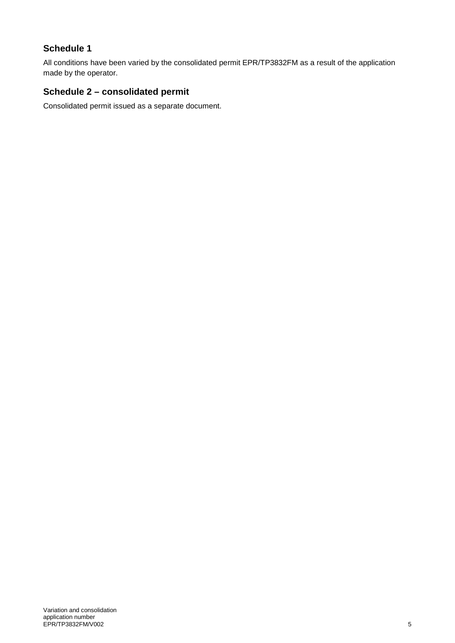#### **Schedule 1**

All conditions have been varied by the consolidated permit EPR/TP3832FM as a result of the application made by the operator.

### **Schedule 2 – consolidated permit**

Consolidated permit issued as a separate document.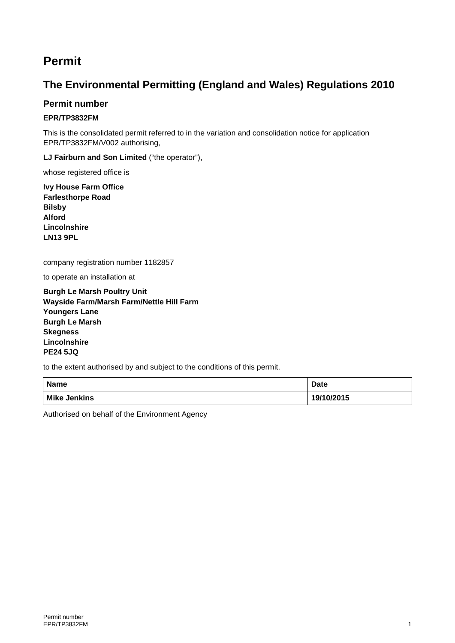## **Permit**

## **The Environmental Permitting (England and Wales) Regulations 2010**

#### **Permit number**

#### **EPR/TP3832FM**

This is the consolidated permit referred to in the variation and consolidation notice for application EPR/TP3832FM/V002 authorising,

**LJ Fairburn and Son Limited** ("the operator"),

whose registered office is

**Ivy House Farm Office Farlesthorpe Road Bilsby Alford Lincolnshire LN13 9PL**

company registration number 1182857

to operate an installation at

**Burgh Le Marsh Poultry Unit Wayside Farm/Marsh Farm/Nettle Hill Farm Youngers Lane Burgh Le Marsh Skegness Lincolnshire PE24 5JQ**

to the extent authorised by and subject to the conditions of this permit.

| <b>Name</b>         | Date       |
|---------------------|------------|
| <b>Mike Jenkins</b> | 19/10/2015 |

Authorised on behalf of the Environment Agency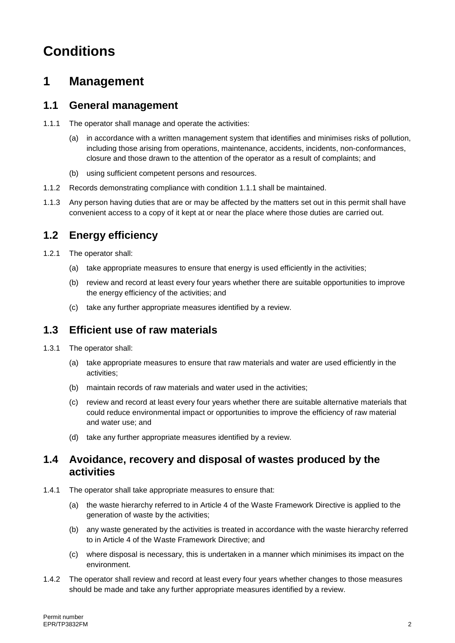## **Conditions**

## **1 Management**

#### **1.1 General management**

- 1.1.1 The operator shall manage and operate the activities:
	- (a) in accordance with a written management system that identifies and minimises risks of pollution, including those arising from operations, maintenance, accidents, incidents, non-conformances, closure and those drawn to the attention of the operator as a result of complaints; and
	- (b) using sufficient competent persons and resources.
- 1.1.2 Records demonstrating compliance with condition 1.1.1 shall be maintained.
- 1.1.3 Any person having duties that are or may be affected by the matters set out in this permit shall have convenient access to a copy of it kept at or near the place where those duties are carried out.

### **1.2 Energy efficiency**

- 1.2.1 The operator shall:
	- (a) take appropriate measures to ensure that energy is used efficiently in the activities;
	- (b) review and record at least every four years whether there are suitable opportunities to improve the energy efficiency of the activities; and
	- (c) take any further appropriate measures identified by a review.

### **1.3 Efficient use of raw materials**

- 1.3.1 The operator shall:
	- (a) take appropriate measures to ensure that raw materials and water are used efficiently in the activities;
	- (b) maintain records of raw materials and water used in the activities;
	- (c) review and record at least every four years whether there are suitable alternative materials that could reduce environmental impact or opportunities to improve the efficiency of raw material and water use; and
	- (d) take any further appropriate measures identified by a review.

### **1.4 Avoidance, recovery and disposal of wastes produced by the activities**

- 1.4.1 The operator shall take appropriate measures to ensure that:
	- (a) the waste hierarchy referred to in Article 4 of the Waste Framework Directive is applied to the generation of waste by the activities;
	- (b) any waste generated by the activities is treated in accordance with the waste hierarchy referred to in Article 4 of the Waste Framework Directive; and
	- (c) where disposal is necessary, this is undertaken in a manner which minimises its impact on the environment.
- 1.4.2 The operator shall review and record at least every four years whether changes to those measures should be made and take any further appropriate measures identified by a review.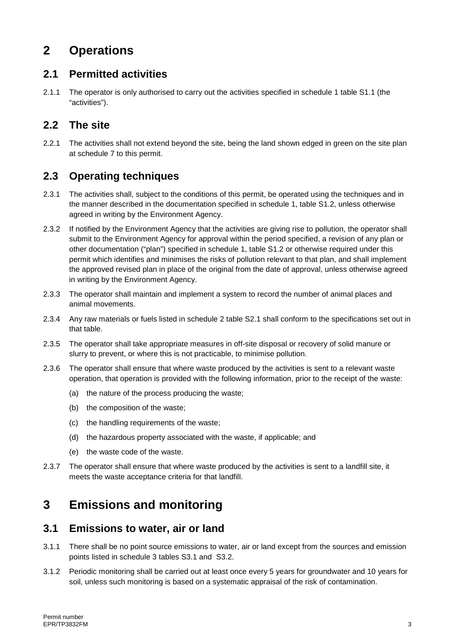## **2 Operations**

## **2.1 Permitted activities**

2.1.1 The operator is only authorised to carry out the activities specified in schedule 1 table S1.1 (the "activities").

## **2.2 The site**

2.2.1 The activities shall not extend beyond the site, being the land shown edged in green on the site plan at schedule 7 to this permit.

## **2.3 Operating techniques**

- 2.3.1 The activities shall, subject to the conditions of this permit, be operated using the techniques and in the manner described in the documentation specified in schedule 1, table S1.2, unless otherwise agreed in writing by the Environment Agency.
- 2.3.2 If notified by the Environment Agency that the activities are giving rise to pollution, the operator shall submit to the Environment Agency for approval within the period specified, a revision of any plan or other documentation ("plan") specified in schedule 1, table S1.2 or otherwise required under this permit which identifies and minimises the risks of pollution relevant to that plan, and shall implement the approved revised plan in place of the original from the date of approval, unless otherwise agreed in writing by the Environment Agency.
- 2.3.3 The operator shall maintain and implement a system to record the number of animal places and animal movements.
- 2.3.4 Any raw materials or fuels listed in schedule 2 table S2.1 shall conform to the specifications set out in that table.
- 2.3.5 The operator shall take appropriate measures in off-site disposal or recovery of solid manure or slurry to prevent, or where this is not practicable, to minimise pollution.
- 2.3.6 The operator shall ensure that where waste produced by the activities is sent to a relevant waste operation, that operation is provided with the following information, prior to the receipt of the waste:
	- (a) the nature of the process producing the waste;
	- (b) the composition of the waste;
	- (c) the handling requirements of the waste;
	- (d) the hazardous property associated with the waste, if applicable; and
	- (e) the waste code of the waste.
- 2.3.7 The operator shall ensure that where waste produced by the activities is sent to a landfill site, it meets the waste acceptance criteria for that landfill.

## **3 Emissions and monitoring**

#### **3.1 Emissions to water, air or land**

- 3.1.1 There shall be no point source emissions to water, air or land except from the sources and emission points listed in schedule 3 tables S3.1 and S3.2.
- 3.1.2 Periodic monitoring shall be carried out at least once every 5 years for groundwater and 10 years for soil, unless such monitoring is based on a systematic appraisal of the risk of contamination.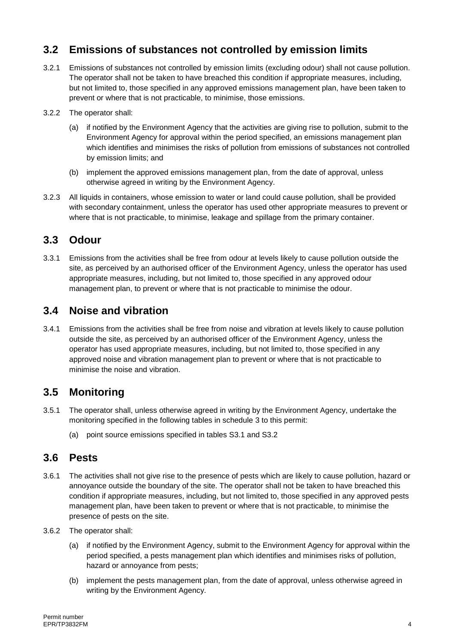## **3.2 Emissions of substances not controlled by emission limits**

- 3.2.1 Emissions of substances not controlled by emission limits (excluding odour) shall not cause pollution. The operator shall not be taken to have breached this condition if appropriate measures, including, but not limited to, those specified in any approved emissions management plan, have been taken to prevent or where that is not practicable, to minimise, those emissions.
- 3.2.2 The operator shall:
	- (a) if notified by the Environment Agency that the activities are giving rise to pollution, submit to the Environment Agency for approval within the period specified, an emissions management plan which identifies and minimises the risks of pollution from emissions of substances not controlled by emission limits; and
	- (b) implement the approved emissions management plan, from the date of approval, unless otherwise agreed in writing by the Environment Agency.
- 3.2.3 All liquids in containers, whose emission to water or land could cause pollution, shall be provided with secondary containment, unless the operator has used other appropriate measures to prevent or where that is not practicable, to minimise, leakage and spillage from the primary container.

### **3.3 Odour**

3.3.1 Emissions from the activities shall be free from odour at levels likely to cause pollution outside the site, as perceived by an authorised officer of the Environment Agency, unless the operator has used appropriate measures, including, but not limited to, those specified in any approved odour management plan, to prevent or where that is not practicable to minimise the odour.

### **3.4 Noise and vibration**

3.4.1 Emissions from the activities shall be free from noise and vibration at levels likely to cause pollution outside the site, as perceived by an authorised officer of the Environment Agency, unless the operator has used appropriate measures, including, but not limited to, those specified in any approved noise and vibration management plan to prevent or where that is not practicable to minimise the noise and vibration.

## **3.5 Monitoring**

- 3.5.1 The operator shall, unless otherwise agreed in writing by the Environment Agency, undertake the monitoring specified in the following tables in schedule 3 to this permit:
	- (a) point source emissions specified in tables S3.1 and S3.2

#### **3.6 Pests**

- 3.6.1 The activities shall not give rise to the presence of pests which are likely to cause pollution, hazard or annoyance outside the boundary of the site. The operator shall not be taken to have breached this condition if appropriate measures, including, but not limited to, those specified in any approved pests management plan, have been taken to prevent or where that is not practicable, to minimise the presence of pests on the site.
- 3.6.2 The operator shall:
	- (a) if notified by the Environment Agency, submit to the Environment Agency for approval within the period specified, a pests management plan which identifies and minimises risks of pollution, hazard or annoyance from pests;
	- (b) implement the pests management plan, from the date of approval, unless otherwise agreed in writing by the Environment Agency.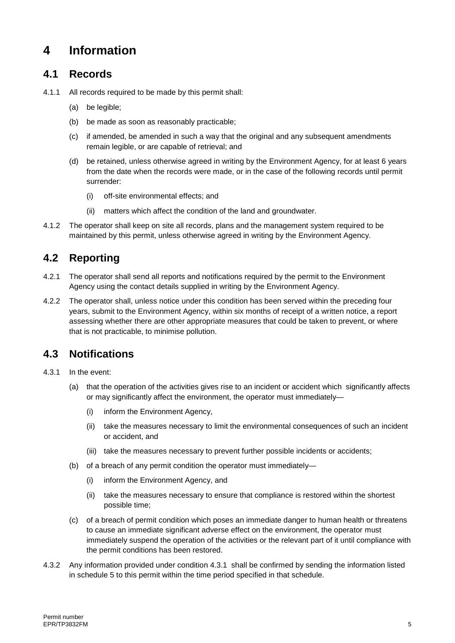## **4 Information**

### **4.1 Records**

- 4.1.1 All records required to be made by this permit shall:
	- (a) be legible;
	- (b) be made as soon as reasonably practicable;
	- (c) if amended, be amended in such a way that the original and any subsequent amendments remain legible, or are capable of retrieval; and
	- (d) be retained, unless otherwise agreed in writing by the Environment Agency, for at least 6 years from the date when the records were made, or in the case of the following records until permit surrender:
		- (i) off-site environmental effects; and
		- (ii) matters which affect the condition of the land and groundwater.
- 4.1.2 The operator shall keep on site all records, plans and the management system required to be maintained by this permit, unless otherwise agreed in writing by the Environment Agency.

## **4.2 Reporting**

- 4.2.1 The operator shall send all reports and notifications required by the permit to the Environment Agency using the contact details supplied in writing by the Environment Agency.
- 4.2.2 The operator shall, unless notice under this condition has been served within the preceding four years, submit to the Environment Agency, within six months of receipt of a written notice, a report assessing whether there are other appropriate measures that could be taken to prevent, or where that is not practicable, to minimise pollution.

### **4.3 Notifications**

- 4.3.1 In the event:
	- (a) that the operation of the activities gives rise to an incident or accident which significantly affects or may significantly affect the environment, the operator must immediately—
		- (i) inform the Environment Agency,
		- (ii) take the measures necessary to limit the environmental consequences of such an incident or accident, and
		- (iii) take the measures necessary to prevent further possible incidents or accidents;
	- (b) of a breach of any permit condition the operator must immediately—
		- (i) inform the Environment Agency, and
		- (ii) take the measures necessary to ensure that compliance is restored within the shortest possible time;
	- (c) of a breach of permit condition which poses an immediate danger to human health or threatens to cause an immediate significant adverse effect on the environment, the operator must immediately suspend the operation of the activities or the relevant part of it until compliance with the permit conditions has been restored.
- 4.3.2 Any information provided under condition 4.3.1 shall be confirmed by sending the information listed in schedule 5 to this permit within the time period specified in that schedule.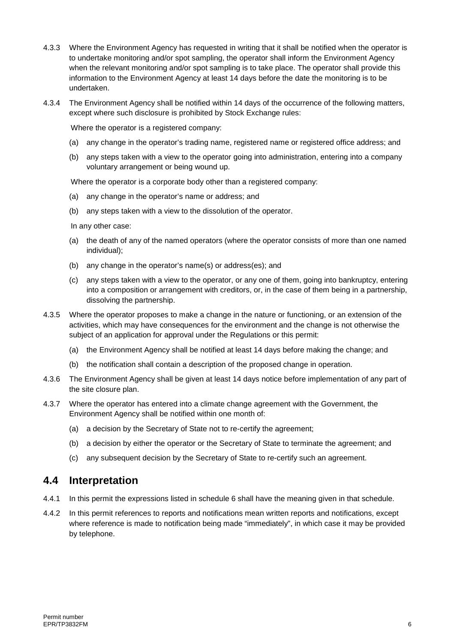- 4.3.3 Where the Environment Agency has requested in writing that it shall be notified when the operator is to undertake monitoring and/or spot sampling, the operator shall inform the Environment Agency when the relevant monitoring and/or spot sampling is to take place. The operator shall provide this information to the Environment Agency at least 14 days before the date the monitoring is to be undertaken.
- 4.3.4 The Environment Agency shall be notified within 14 days of the occurrence of the following matters, except where such disclosure is prohibited by Stock Exchange rules:

Where the operator is a registered company:

- (a) any change in the operator's trading name, registered name or registered office address; and
- (b) any steps taken with a view to the operator going into administration, entering into a company voluntary arrangement or being wound up.

Where the operator is a corporate body other than a registered company:

- (a) any change in the operator's name or address; and
- (b) any steps taken with a view to the dissolution of the operator.

In any other case:

- (a) the death of any of the named operators (where the operator consists of more than one named individual);
- (b) any change in the operator's name(s) or address(es); and
- (c) any steps taken with a view to the operator, or any one of them, going into bankruptcy, entering into a composition or arrangement with creditors, or, in the case of them being in a partnership, dissolving the partnership.
- 4.3.5 Where the operator proposes to make a change in the nature or functioning, or an extension of the activities, which may have consequences for the environment and the change is not otherwise the subject of an application for approval under the Regulations or this permit:
	- (a) the Environment Agency shall be notified at least 14 days before making the change; and
	- (b) the notification shall contain a description of the proposed change in operation.
- 4.3.6 The Environment Agency shall be given at least 14 days notice before implementation of any part of the site closure plan.
- 4.3.7 Where the operator has entered into a climate change agreement with the Government, the Environment Agency shall be notified within one month of:
	- (a) a decision by the Secretary of State not to re-certify the agreement;
	- (b) a decision by either the operator or the Secretary of State to terminate the agreement; and
	- (c) any subsequent decision by the Secretary of State to re-certify such an agreement.

#### **4.4 Interpretation**

- 4.4.1 In this permit the expressions listed in schedule 6 shall have the meaning given in that schedule.
- 4.4.2 In this permit references to reports and notifications mean written reports and notifications, except where reference is made to notification being made "immediately", in which case it may be provided by telephone.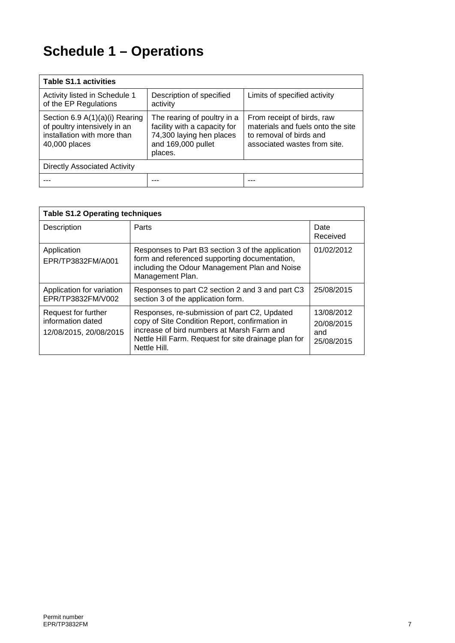# **Schedule 1 – Operations**

| <b>Table S1.1 activities</b>                                                                                   |                                                                                                                          |                                                                                                                            |  |  |
|----------------------------------------------------------------------------------------------------------------|--------------------------------------------------------------------------------------------------------------------------|----------------------------------------------------------------------------------------------------------------------------|--|--|
| Activity listed in Schedule 1<br>of the EP Regulations                                                         | Description of specified<br>activity                                                                                     | Limits of specified activity                                                                                               |  |  |
| Section 6.9 A(1)(a)(i) Rearing<br>of poultry intensively in an<br>installation with more than<br>40,000 places | The rearing of poultry in a<br>facility with a capacity for<br>74,300 laying hen places<br>and 169,000 pullet<br>places. | From receipt of birds, raw<br>materials and fuels onto the site<br>to removal of birds and<br>associated wastes from site. |  |  |
| <b>Directly Associated Activity</b>                                                                            |                                                                                                                          |                                                                                                                            |  |  |
|                                                                                                                |                                                                                                                          |                                                                                                                            |  |  |

| <b>Table S1.2 Operating techniques</b>                             |                                                                                                                                                                                                                      |                                               |  |  |
|--------------------------------------------------------------------|----------------------------------------------------------------------------------------------------------------------------------------------------------------------------------------------------------------------|-----------------------------------------------|--|--|
| Description                                                        | Parts                                                                                                                                                                                                                | Date<br>Received                              |  |  |
| Application<br>EPR/TP3832FM/A001                                   | Responses to Part B3 section 3 of the application<br>form and referenced supporting documentation,<br>including the Odour Management Plan and Noise<br>Management Plan.                                              | 01/02/2012                                    |  |  |
| Application for variation<br>EPR/TP3832FM/V002                     | Responses to part C2 section 2 and 3 and part C3<br>section 3 of the application form.                                                                                                                               | 25/08/2015                                    |  |  |
| Request for further<br>information dated<br>12/08/2015, 20/08/2015 | Responses, re-submission of part C2, Updated<br>copy of Site Condition Report, confirmation in<br>increase of bird numbers at Marsh Farm and<br>Nettle Hill Farm. Request for site drainage plan for<br>Nettle Hill. | 13/08/2012<br>20/08/2015<br>and<br>25/08/2015 |  |  |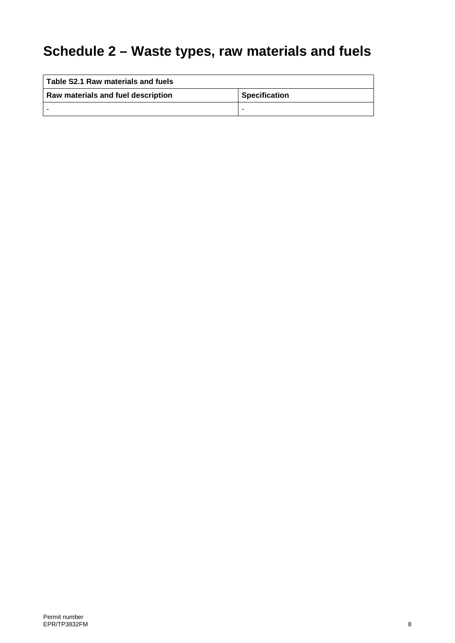# **Schedule 2 – Waste types, raw materials and fuels**

| l Table S2.1 Raw materials and fuels l |                      |
|----------------------------------------|----------------------|
| Raw materials and fuel description     | <b>Specification</b> |
|                                        |                      |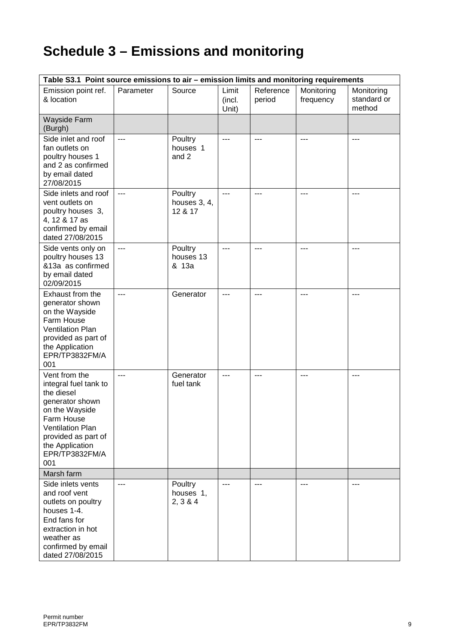# **Schedule 3 – Emissions and monitoring**

| Table S3.1 Point source emissions to air - emission limits and monitoring requirements                                                                                                                |               |                                    |                          |                     |                         |                                     |
|-------------------------------------------------------------------------------------------------------------------------------------------------------------------------------------------------------|---------------|------------------------------------|--------------------------|---------------------|-------------------------|-------------------------------------|
| Emission point ref.<br>& location                                                                                                                                                                     | Parameter     | Source                             | Limit<br>(incl.<br>Unit) | Reference<br>period | Monitoring<br>frequency | Monitoring<br>standard or<br>method |
| Wayside Farm<br>(Burgh)                                                                                                                                                                               |               |                                    |                          |                     |                         |                                     |
| Side inlet and roof<br>fan outlets on<br>poultry houses 1<br>and 2 as confirmed<br>by email dated<br>27/08/2015                                                                                       | $---$         | Poultry<br>houses 1<br>and 2       | $---$                    | $---$               | $---$                   | $---$                               |
| Side inlets and roof<br>vent outlets on<br>poultry houses 3,<br>4, 12 & 17 as<br>confirmed by email<br>dated 27/08/2015                                                                               | $---$         | Poultry<br>houses 3, 4,<br>12 & 17 | $---$                    | $---$               | $---$                   | ---                                 |
| Side vents only on<br>poultry houses 13<br>&13a as confirmed<br>by email dated<br>02/09/2015                                                                                                          | $\frac{1}{2}$ | Poultry<br>houses 13<br>& 13a      | $---$                    | ---                 | $---$                   | ---                                 |
| Exhaust from the<br>generator shown<br>on the Wayside<br>Farm House<br><b>Ventilation Plan</b><br>provided as part of<br>the Application<br>EPR/TP3832FM/A<br>001                                     | $---$         | Generator                          | ---                      | ---                 | ---                     | ---                                 |
| Vent from the<br>integral fuel tank to<br>the diesel<br>generator shown<br>on the Wayside<br>Farm House<br><b>Ventilation Plan</b><br>provided as part of<br>the Application<br>EPR/TP3832FM/A<br>001 | $---$         | Generator<br>fuel tank             | $---$                    | $---$               | $---$                   | ---                                 |
| Marsh farm                                                                                                                                                                                            |               |                                    |                          |                     |                         |                                     |
| Side inlets vents<br>and roof vent<br>outlets on poultry<br>houses 1-4.<br>End fans for<br>extraction in hot<br>weather as<br>confirmed by email<br>dated 27/08/2015                                  | $---$         | Poultry<br>houses 1,<br>2, 3 & 4   | $---$                    | ---                 | $---$                   |                                     |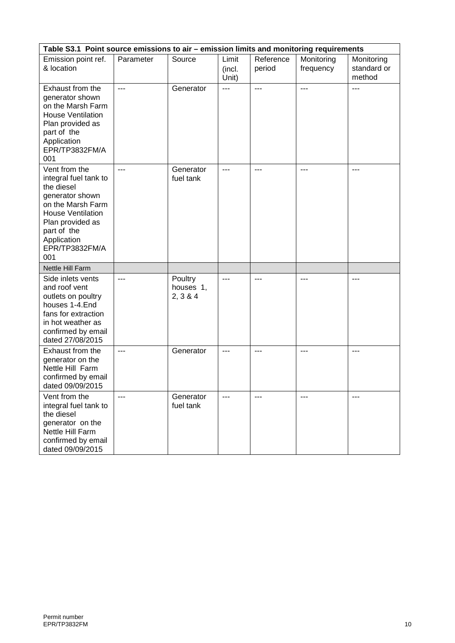| Table S3.1 Point source emissions to air - emission limits and monitoring requirements                                                                                                              |                |                                  |                          |                     |                         |                                     |
|-----------------------------------------------------------------------------------------------------------------------------------------------------------------------------------------------------|----------------|----------------------------------|--------------------------|---------------------|-------------------------|-------------------------------------|
| Emission point ref.<br>& location                                                                                                                                                                   | Parameter      | Source                           | Limit<br>(incl.<br>Unit) | Reference<br>period | Monitoring<br>frequency | Monitoring<br>standard or<br>method |
| Exhaust from the<br>generator shown<br>on the Marsh Farm<br><b>House Ventilation</b><br>Plan provided as<br>part of the<br>Application<br>EPR/TP3832FM/A<br>001                                     | $\overline{a}$ | Generator                        | ---                      | ---                 | $---$                   | $\overline{a}$                      |
| Vent from the<br>integral fuel tank to<br>the diesel<br>generator shown<br>on the Marsh Farm<br><b>House Ventilation</b><br>Plan provided as<br>part of the<br>Application<br>EPR/TP3832FM/A<br>001 | $\overline{a}$ | Generator<br>fuel tank           | $\overline{a}$           | ---                 | ---                     | ---                                 |
| <b>Nettle Hill Farm</b>                                                                                                                                                                             |                |                                  |                          |                     |                         |                                     |
| Side inlets vents<br>and roof vent<br>outlets on poultry<br>houses 1-4.End<br>fans for extraction<br>in hot weather as<br>confirmed by email<br>dated 27/08/2015                                    | $---$          | Poultry<br>houses 1,<br>2, 3 & 4 | $---$                    | ---                 | $- - -$                 | $---$                               |
| Exhaust from the<br>generator on the<br>Nettle Hill Farm<br>confirmed by email<br>dated 09/09/2015                                                                                                  | $---$          | Generator                        | $---$                    | ---                 | $---$                   | $---$                               |
| Vent from the<br>integral fuel tank to<br>the diesel<br>generator on the<br>Nettle Hill Farm<br>confirmed by email<br>dated 09/09/2015                                                              | $- - -$        | Generator<br>fuel tank           | ---                      | $- - -$             | $---$                   | $- - -$                             |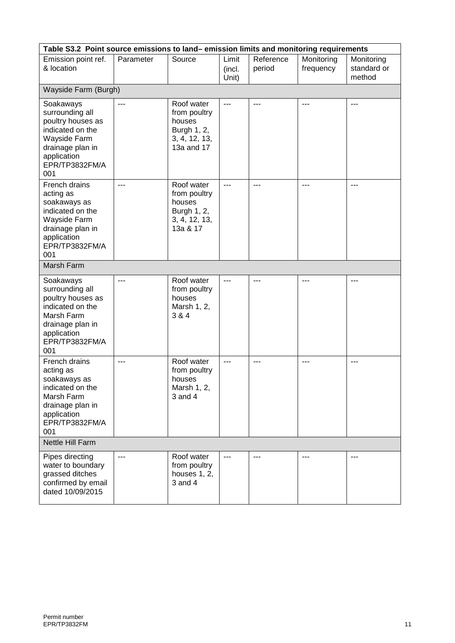| Table S3.2 Point source emissions to land-emission limits and monitoring requirements                                                             |                |                                                                                    |                          |                     |                         |                                     |
|---------------------------------------------------------------------------------------------------------------------------------------------------|----------------|------------------------------------------------------------------------------------|--------------------------|---------------------|-------------------------|-------------------------------------|
| Emission point ref.<br>& location                                                                                                                 | Parameter      | Source                                                                             | Limit<br>(incl.<br>Unit) | Reference<br>period | Monitoring<br>frequency | Monitoring<br>standard or<br>method |
| Wayside Farm (Burgh)                                                                                                                              |                |                                                                                    |                          |                     |                         |                                     |
| Soakaways<br>surrounding all<br>poultry houses as<br>indicated on the<br>Wayside Farm<br>drainage plan in<br>application<br>EPR/TP3832FM/A<br>001 | $---$          | Roof water<br>from poultry<br>houses<br>Burgh 1, 2,<br>3, 4, 12, 13,<br>13a and 17 | $---$                    | $---$               | $\overline{a}$          | $---$                               |
| French drains<br>acting as<br>soakaways as<br>indicated on the<br>Wayside Farm<br>drainage plan in<br>application<br>EPR/TP3832FM/A<br>001        |                | Roof water<br>from poultry<br>houses<br>Burgh 1, 2,<br>3, 4, 12, 13,<br>13a & 17   | ---                      |                     | ---                     | ---                                 |
| Marsh Farm                                                                                                                                        |                |                                                                                    |                          |                     |                         |                                     |
| Soakaways<br>surrounding all<br>poultry houses as<br>indicated on the<br>Marsh Farm<br>drainage plan in<br>application<br>EPR/TP3832FM/A<br>001   |                | Roof water<br>from poultry<br>houses<br>Marsh 1, 2,<br>3 & 4                       | ---                      |                     |                         |                                     |
| French drains<br>acting as<br>soakaways as<br>indicated on the<br>Marsh Farm<br>drainage plan in<br>application<br>EPR/TP3832FM/A<br>001          | $- - -$        | Roof water<br>from poultry<br>houses<br>Marsh 1, 2,<br>$3$ and $4$                 | ---                      | $- - -$             | $---$                   | $---$                               |
| Nettle Hill Farm                                                                                                                                  |                |                                                                                    |                          |                     |                         |                                     |
| Pipes directing<br>water to boundary<br>grassed ditches<br>confirmed by email<br>dated 10/09/2015                                                 | $\overline{a}$ | Roof water<br>from poultry<br>houses 1, 2,<br>$3$ and $4$                          | $---$                    | $- - -$             | $---$                   | $\cdots$                            |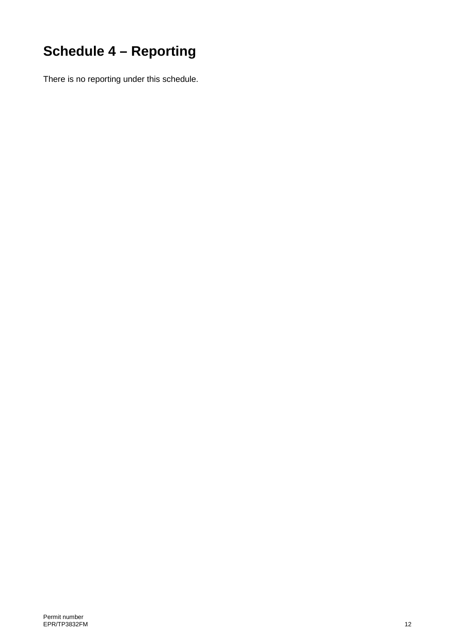# **Schedule 4 – Reporting**

There is no reporting under this schedule.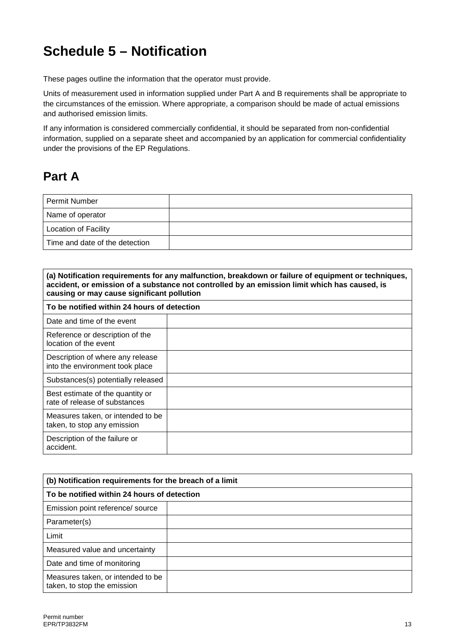# **Schedule 5 – Notification**

These pages outline the information that the operator must provide.

Units of measurement used in information supplied under Part A and B requirements shall be appropriate to the circumstances of the emission. Where appropriate, a comparison should be made of actual emissions and authorised emission limits.

If any information is considered commercially confidential, it should be separated from non-confidential information, supplied on a separate sheet and accompanied by an application for commercial confidentiality under the provisions of the EP Regulations.

## **Part A**

| Permit Number                  |  |
|--------------------------------|--|
| Name of operator               |  |
| <b>Location of Facility</b>    |  |
| Time and date of the detection |  |

| (a) Notification requirements for any malfunction, breakdown or failure of equipment or techniques,<br>accident, or emission of a substance not controlled by an emission limit which has caused, is<br>causing or may cause significant pollution |  |  |  |
|----------------------------------------------------------------------------------------------------------------------------------------------------------------------------------------------------------------------------------------------------|--|--|--|
| To be notified within 24 hours of detection                                                                                                                                                                                                        |  |  |  |
| Date and time of the event                                                                                                                                                                                                                         |  |  |  |
| Reference or description of the<br>location of the event                                                                                                                                                                                           |  |  |  |
| Description of where any release<br>into the environment took place                                                                                                                                                                                |  |  |  |
| Substances(s) potentially released                                                                                                                                                                                                                 |  |  |  |
| Best estimate of the quantity or<br>rate of release of substances                                                                                                                                                                                  |  |  |  |
| Measures taken, or intended to be<br>taken, to stop any emission                                                                                                                                                                                   |  |  |  |
| Description of the failure or<br>accident.                                                                                                                                                                                                         |  |  |  |

| (b) Notification requirements for the breach of a limit          |  |  |
|------------------------------------------------------------------|--|--|
| To be notified within 24 hours of detection                      |  |  |
| Emission point reference/ source                                 |  |  |
| Parameter(s)                                                     |  |  |
| Limit                                                            |  |  |
| Measured value and uncertainty                                   |  |  |
| Date and time of monitoring                                      |  |  |
| Measures taken, or intended to be<br>taken, to stop the emission |  |  |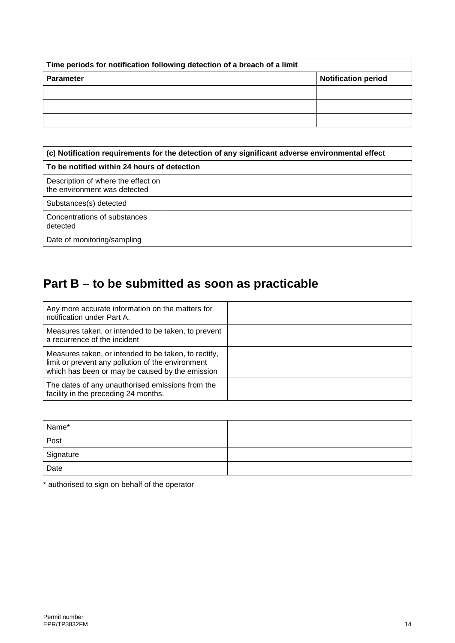| Time periods for notification following detection of a breach of a limit |                            |  |
|--------------------------------------------------------------------------|----------------------------|--|
| <b>Parameter</b>                                                         | <b>Notification period</b> |  |
|                                                                          |                            |  |
|                                                                          |                            |  |
|                                                                          |                            |  |

| (c) Notification requirements for the detection of any significant adverse environmental effect<br>To be notified within 24 hours of detection |  |  |
|------------------------------------------------------------------------------------------------------------------------------------------------|--|--|
|                                                                                                                                                |  |  |
| Substances(s) detected                                                                                                                         |  |  |
| Concentrations of substances<br>detected                                                                                                       |  |  |
| Date of monitoring/sampling                                                                                                                    |  |  |

## **Part B – to be submitted as soon as practicable**

| Any more accurate information on the matters for<br>notification under Part A.                                                                               |  |
|--------------------------------------------------------------------------------------------------------------------------------------------------------------|--|
| Measures taken, or intended to be taken, to prevent<br>a recurrence of the incident                                                                          |  |
| Measures taken, or intended to be taken, to rectify,<br>limit or prevent any pollution of the environment<br>which has been or may be caused by the emission |  |
| The dates of any unauthorised emissions from the<br>facility in the preceding 24 months.                                                                     |  |

| Name*     |  |
|-----------|--|
| Post      |  |
| Signature |  |
| Date      |  |

\* authorised to sign on behalf of the operator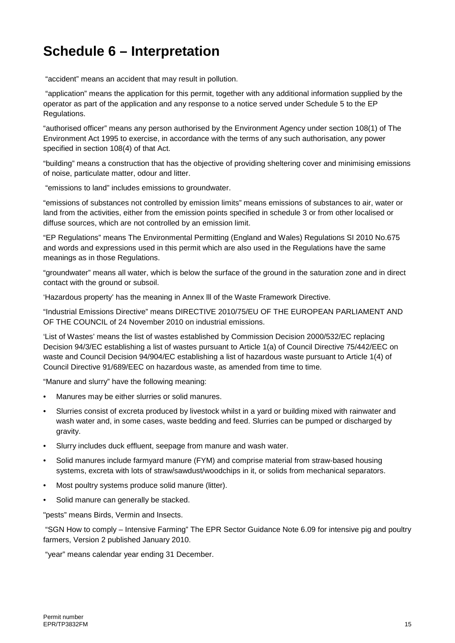## **Schedule 6 – Interpretation**

"accident" means an accident that may result in pollution.

"application" means the application for this permit, together with any additional information supplied by the operator as part of the application and any response to a notice served under Schedule 5 to the EP Regulations.

"authorised officer" means any person authorised by the Environment Agency under section 108(1) of The Environment Act 1995 to exercise, in accordance with the terms of any such authorisation, any power specified in section 108(4) of that Act.

"building" means a construction that has the objective of providing sheltering cover and minimising emissions of noise, particulate matter, odour and litter.

"emissions to land" includes emissions to groundwater.

"emissions of substances not controlled by emission limits" means emissions of substances to air, water or land from the activities, either from the emission points specified in schedule 3 or from other localised or diffuse sources, which are not controlled by an emission limit.

"EP Regulations" means The Environmental Permitting (England and Wales) Regulations SI 2010 No.675 and words and expressions used in this permit which are also used in the Regulations have the same meanings as in those Regulations.

"groundwater" means all water, which is below the surface of the ground in the saturation zone and in direct contact with the ground or subsoil.

'Hazardous property' has the meaning in Annex lll of the Waste Framework Directive.

"Industrial Emissions Directive" means DIRECTIVE 2010/75/EU OF THE EUROPEAN PARLIAMENT AND OF THE COUNCIL of 24 November 2010 on industrial emissions.

'List of Wastes' means the list of wastes established by Commission Decision [2000/532/EC](http://www.legislation.gov.uk/european/decision/2000/0532) replacing Decision [94/3/EC](http://www.legislation.gov.uk/european/decision/1994/0003) establishing a list of wastes pursuant to Article 1(a) of Council Directive [75/442/EEC](http://www.legislation.gov.uk/european/directive/1975/0442) on waste and Council Decision [94/904/EC](http://www.legislation.gov.uk/european/decision/1994/0904) establishing a list of hazardous waste pursuant to Article 1(4) of Council Directive [91/689/EEC](http://www.legislation.gov.uk/european/decision/1991/0689) on hazardous waste, as amended from time to time.

"Manure and slurry" have the following meaning:

- Manures may be either slurries or solid manures.
- Slurries consist of excreta produced by livestock whilst in a yard or building mixed with rainwater and wash water and, in some cases, waste bedding and feed. Slurries can be pumped or discharged by gravity.
- Slurry includes duck effluent, seepage from manure and wash water.
- Solid manures include farmyard manure (FYM) and comprise material from straw-based housing systems, excreta with lots of straw/sawdust/woodchips in it, or solids from mechanical separators.
- Most poultry systems produce solid manure (litter).
- Solid manure can generally be stacked.

"pests" means Birds, Vermin and Insects.

"SGN How to comply – Intensive Farming" The EPR Sector Guidance Note 6.09 for intensive pig and poultry farmers, Version 2 published January 2010.

"year" means calendar year ending 31 December.